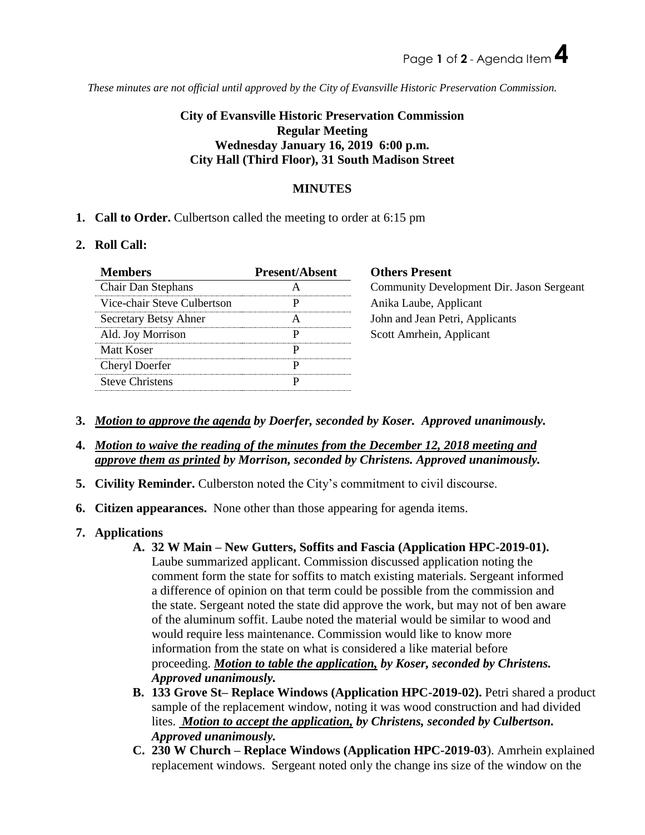*These minutes are not official until approved by the City of Evansville Historic Preservation Commission.*

## **City of Evansville Historic Preservation Commission Regular Meeting Wednesday January 16, 2019 6:00 p.m. City Hall (Third Floor), 31 South Madison Street**

## **MINUTES**

**1. Call to Order.** Culbertson called the meeting to order at 6:15 pm

## **2. Roll Call:**

| <b>Members</b>               | <b>Present/Absent</b> | <b>Others Present</b>                     |
|------------------------------|-----------------------|-------------------------------------------|
| Chair Dan Stephans           | A                     | Community Development Dir. Jason Sergeant |
| Vice-chair Steve Culbertson  | p                     | Anika Laube, Applicant                    |
| <b>Secretary Betsy Ahner</b> | A                     | John and Jean Petri, Applicants           |
| Ald. Joy Morrison            | p                     | Scott Amrhein, Applicant                  |
| Matt Koser                   |                       |                                           |
| <b>Cheryl Doerfer</b>        | D                     |                                           |
| <b>Steve Christens</b>       | D                     |                                           |

- **3.** *Motion to approve the agenda by Doerfer, seconded by Koser. Approved unanimously.*
- **4.** *Motion to waive the reading of the minutes from the December 12, 2018 meeting and approve them as printed by Morrison, seconded by Christens. Approved unanimously.*
- **5. Civility Reminder.** Culberston noted the City's commitment to civil discourse.
- **6. Citizen appearances.** None other than those appearing for agenda items.
- **7. Applications** 
	- **A. 32 W Main – New Gutters, Soffits and Fascia (Application HPC-2019-01).**

Laube summarized applicant. Commission discussed application noting the comment form the state for soffits to match existing materials. Sergeant informed a difference of opinion on that term could be possible from the commission and the state. Sergeant noted the state did approve the work, but may not of ben aware of the aluminum soffit. Laube noted the material would be similar to wood and would require less maintenance. Commission would like to know more information from the state on what is considered a like material before proceeding. *Motion to table the application, by Koser, seconded by Christens. Approved unanimously.*

- **B. 133 Grove St– Replace Windows (Application HPC-2019-02).** Petri shared a product sample of the replacement window, noting it was wood construction and had divided lites. *Motion to accept the application, by Christens, seconded by Culbertson. Approved unanimously.*
- **C. 230 W Church – Replace Windows (Application HPC-2019-03**). Amrhein explained replacement windows. Sergeant noted only the change ins size of the window on the